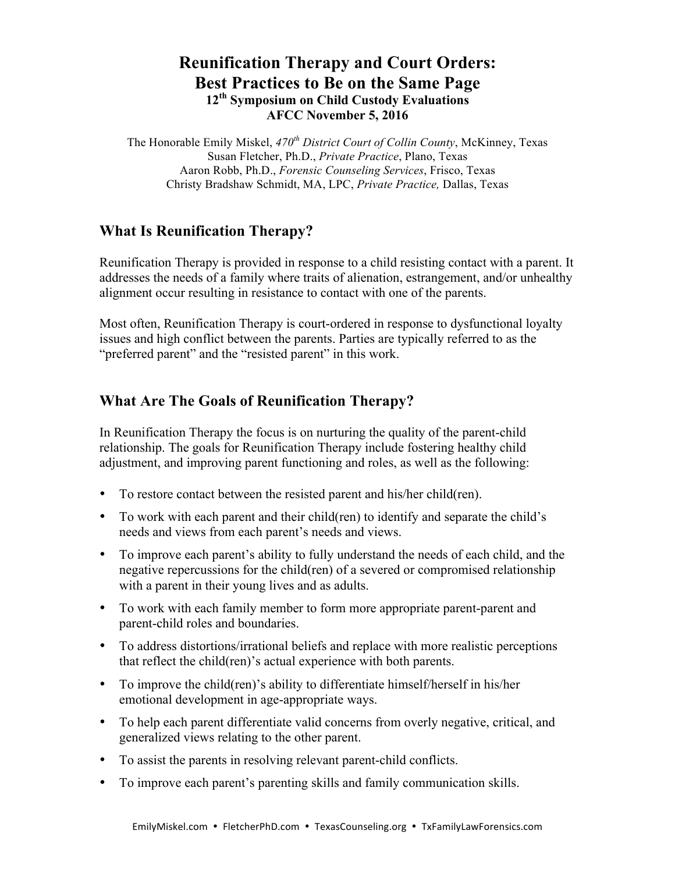# **Reunification Therapy and Court Orders: Best Practices to Be on the Same Page 12th Symposium on Child Custody Evaluations AFCC November 5, 2016**

The Honorable Emily Miskel, *470th District Court of Collin County*, McKinney, Texas Susan Fletcher, Ph.D., *Private Practice*, Plano, Texas Aaron Robb, Ph.D., *Forensic Counseling Services*, Frisco, Texas Christy Bradshaw Schmidt, MA, LPC, *Private Practice,* Dallas, Texas

# **What Is Reunification Therapy?**

Reunification Therapy is provided in response to a child resisting contact with a parent. It addresses the needs of a family where traits of alienation, estrangement, and/or unhealthy alignment occur resulting in resistance to contact with one of the parents.

Most often, Reunification Therapy is court-ordered in response to dysfunctional loyalty issues and high conflict between the parents. Parties are typically referred to as the "preferred parent" and the "resisted parent" in this work.

# **What Are The Goals of Reunification Therapy?**

In Reunification Therapy the focus is on nurturing the quality of the parent-child relationship. The goals for Reunification Therapy include fostering healthy child adjustment, and improving parent functioning and roles, as well as the following:

- To restore contact between the resisted parent and his/her child(ren).
- To work with each parent and their child(ren) to identify and separate the child's needs and views from each parent's needs and views.
- To improve each parent's ability to fully understand the needs of each child, and the negative repercussions for the child(ren) of a severed or compromised relationship with a parent in their young lives and as adults.
- To work with each family member to form more appropriate parent-parent and parent-child roles and boundaries.
- To address distortions/irrational beliefs and replace with more realistic perceptions that reflect the child(ren)'s actual experience with both parents.
- To improve the child(ren)'s ability to differentiate himself/herself in his/her emotional development in age-appropriate ways.
- To help each parent differentiate valid concerns from overly negative, critical, and generalized views relating to the other parent.
- To assist the parents in resolving relevant parent-child conflicts.
- To improve each parent's parenting skills and family communication skills.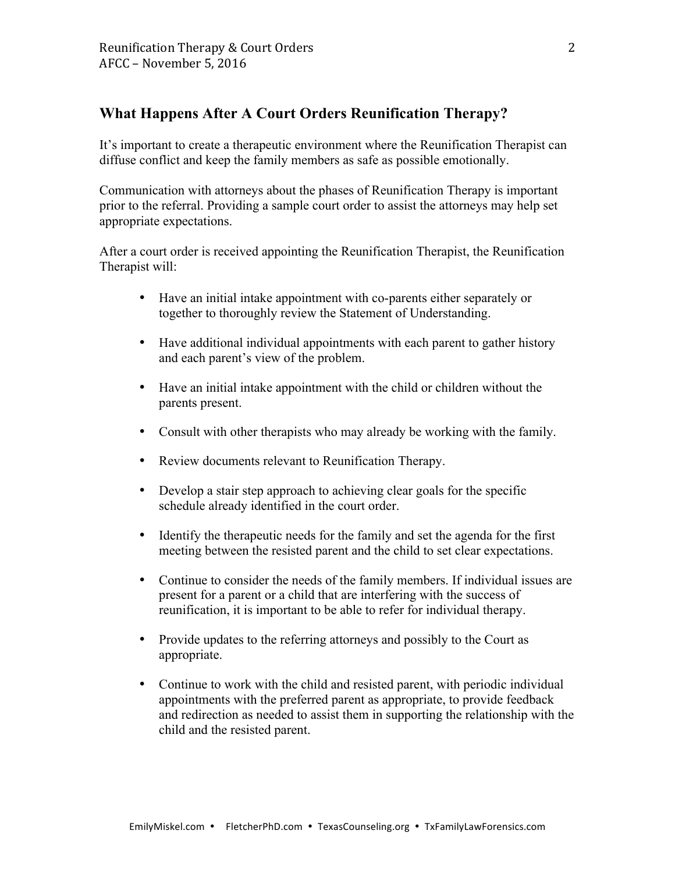## **What Happens After A Court Orders Reunification Therapy?**

It's important to create a therapeutic environment where the Reunification Therapist can diffuse conflict and keep the family members as safe as possible emotionally.

Communication with attorneys about the phases of Reunification Therapy is important prior to the referral. Providing a sample court order to assist the attorneys may help set appropriate expectations.

After a court order is received appointing the Reunification Therapist, the Reunification Therapist will:

- Have an initial intake appointment with co-parents either separately or together to thoroughly review the Statement of Understanding.
- Have additional individual appointments with each parent to gather history and each parent's view of the problem.
- Have an initial intake appointment with the child or children without the parents present.
- Consult with other therapists who may already be working with the family.
- Review documents relevant to Reunification Therapy.
- Develop a stair step approach to achieving clear goals for the specific schedule already identified in the court order.
- Identify the therapeutic needs for the family and set the agenda for the first meeting between the resisted parent and the child to set clear expectations.
- Continue to consider the needs of the family members. If individual issues are present for a parent or a child that are interfering with the success of reunification, it is important to be able to refer for individual therapy.
- Provide updates to the referring attorneys and possibly to the Court as appropriate.
- Continue to work with the child and resisted parent, with periodic individual appointments with the preferred parent as appropriate, to provide feedback and redirection as needed to assist them in supporting the relationship with the child and the resisted parent.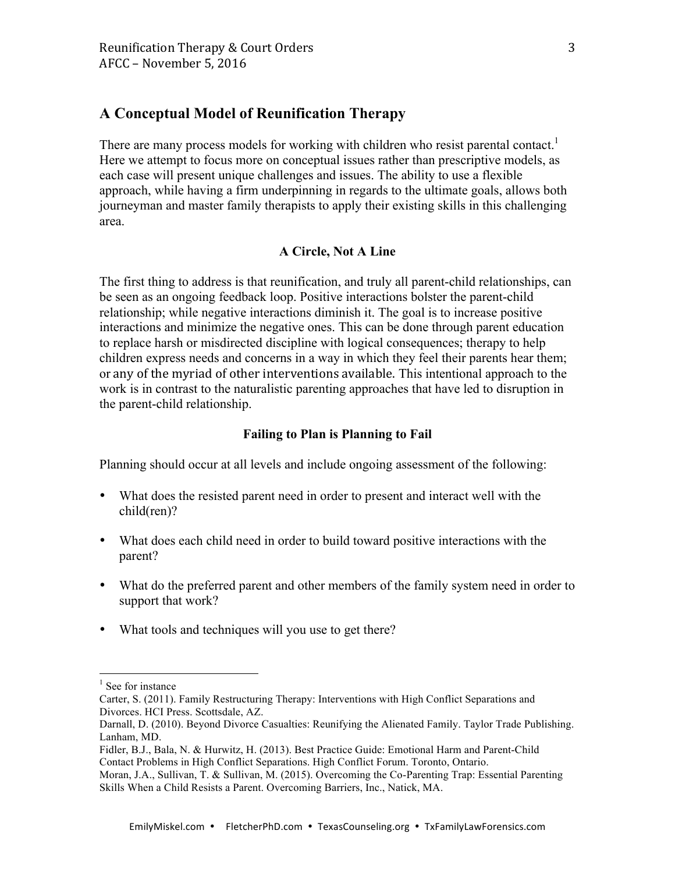## **A Conceptual Model of Reunification Therapy**

There are many process models for working with children who resist parental contact.<sup>1</sup> Here we attempt to focus more on conceptual issues rather than prescriptive models, as each case will present unique challenges and issues. The ability to use a flexible approach, while having a firm underpinning in regards to the ultimate goals, allows both journeyman and master family therapists to apply their existing skills in this challenging area.

#### **A Circle, Not A Line**

The first thing to address is that reunification, and truly all parent-child relationships, can be seen as an ongoing feedback loop. Positive interactions bolster the parent-child relationship; while negative interactions diminish it. The goal is to increase positive interactions and minimize the negative ones. This can be done through parent education to replace harsh or misdirected discipline with logical consequences; therapy to help children express needs and concerns in a way in which they feel their parents hear them; or any of the myriad of other interventions available. This intentional approach to the work is in contrast to the naturalistic parenting approaches that have led to disruption in the parent-child relationship.

#### **Failing to Plan is Planning to Fail**

Planning should occur at all levels and include ongoing assessment of the following:

- What does the resisted parent need in order to present and interact well with the child(ren)?
- What does each child need in order to build toward positive interactions with the parent?
- What do the preferred parent and other members of the family system need in order to support that work?
- What tools and techniques will you use to get there?

<sup>&</sup>lt;sup>1</sup> See for instance

Carter, S. (2011). Family Restructuring Therapy: Interventions with High Conflict Separations and Divorces. HCI Press. Scottsdale, AZ.

Darnall, D. (2010). Beyond Divorce Casualties: Reunifying the Alienated Family. Taylor Trade Publishing. Lanham, MD.

Fidler, B.J., Bala, N. & Hurwitz, H. (2013). Best Practice Guide: Emotional Harm and Parent-Child Contact Problems in High Conflict Separations. High Conflict Forum. Toronto, Ontario.

Moran, J.A., Sullivan, T. & Sullivan, M. (2015). Overcoming the Co-Parenting Trap: Essential Parenting Skills When a Child Resists a Parent. Overcoming Barriers, Inc., Natick, MA.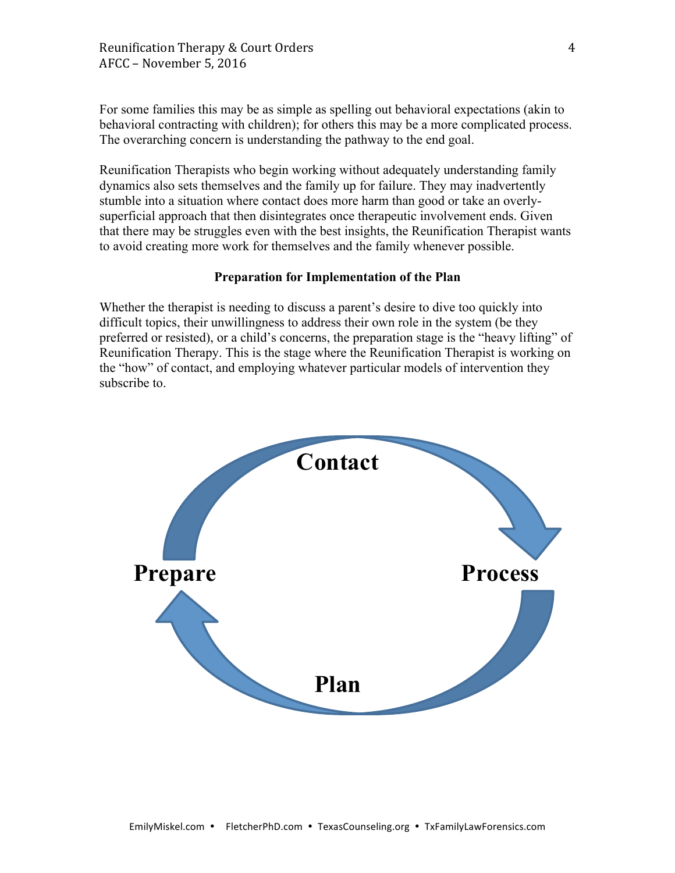For some families this may be as simple as spelling out behavioral expectations (akin to behavioral contracting with children); for others this may be a more complicated process. The overarching concern is understanding the pathway to the end goal.

Reunification Therapists who begin working without adequately understanding family dynamics also sets themselves and the family up for failure. They may inadvertently stumble into a situation where contact does more harm than good or take an overlysuperficial approach that then disintegrates once therapeutic involvement ends. Given that there may be struggles even with the best insights, the Reunification Therapist wants to avoid creating more work for themselves and the family whenever possible.

#### **Preparation for Implementation of the Plan**

Whether the therapist is needing to discuss a parent's desire to dive too quickly into difficult topics, their unwillingness to address their own role in the system (be they preferred or resisted), or a child's concerns, the preparation stage is the "heavy lifting" of Reunification Therapy. This is the stage where the Reunification Therapist is working on the "how" of contact, and employing whatever particular models of intervention they subscribe to.

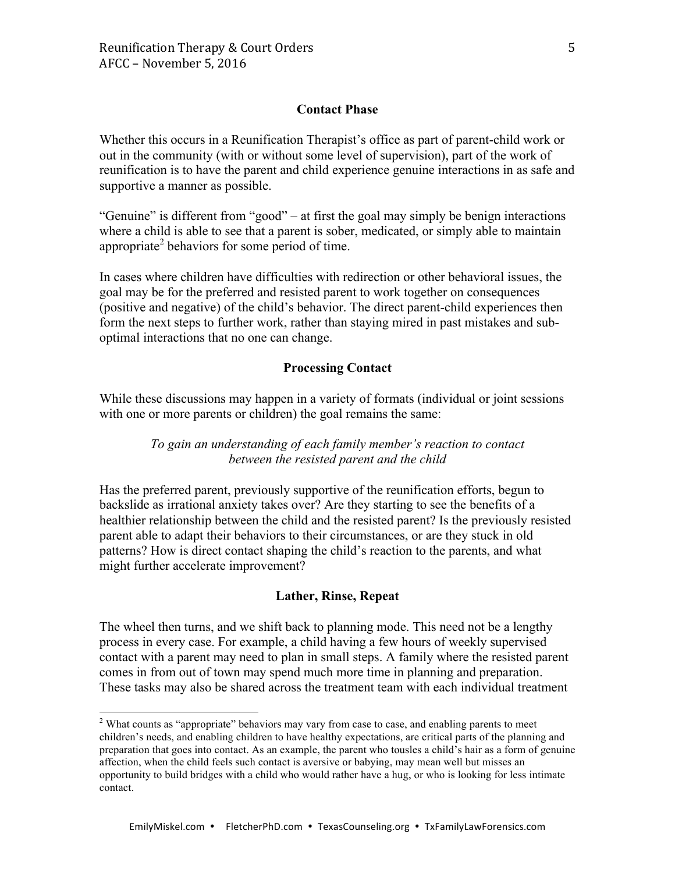### **Contact Phase**

Whether this occurs in a Reunification Therapist's office as part of parent-child work or out in the community (with or without some level of supervision), part of the work of reunification is to have the parent and child experience genuine interactions in as safe and supportive a manner as possible.

"Genuine" is different from "good" – at first the goal may simply be benign interactions where a child is able to see that a parent is sober, medicated, or simply able to maintain appropriate<sup>2</sup> behaviors for some period of time.

In cases where children have difficulties with redirection or other behavioral issues, the goal may be for the preferred and resisted parent to work together on consequences (positive and negative) of the child's behavior. The direct parent-child experiences then form the next steps to further work, rather than staying mired in past mistakes and suboptimal interactions that no one can change.

#### **Processing Contact**

While these discussions may happen in a variety of formats (individual or joint sessions with one or more parents or children) the goal remains the same:

## *To gain an understanding of each family member's reaction to contact between the resisted parent and the child*

Has the preferred parent, previously supportive of the reunification efforts, begun to backslide as irrational anxiety takes over? Are they starting to see the benefits of a healthier relationship between the child and the resisted parent? Is the previously resisted parent able to adapt their behaviors to their circumstances, or are they stuck in old patterns? How is direct contact shaping the child's reaction to the parents, and what might further accelerate improvement?

#### **Lather, Rinse, Repeat**

The wheel then turns, and we shift back to planning mode. This need not be a lengthy process in every case. For example, a child having a few hours of weekly supervised contact with a parent may need to plan in small steps. A family where the resisted parent comes in from out of town may spend much more time in planning and preparation. These tasks may also be shared across the treatment team with each individual treatment

<sup>&</sup>lt;sup>2</sup> What counts as "appropriate" behaviors may vary from case to case, and enabling parents to meet children's needs, and enabling children to have healthy expectations, are critical parts of the planning and preparation that goes into contact. As an example, the parent who tousles a child's hair as a form of genuine affection, when the child feels such contact is aversive or babying, may mean well but misses an opportunity to build bridges with a child who would rather have a hug, or who is looking for less intimate contact.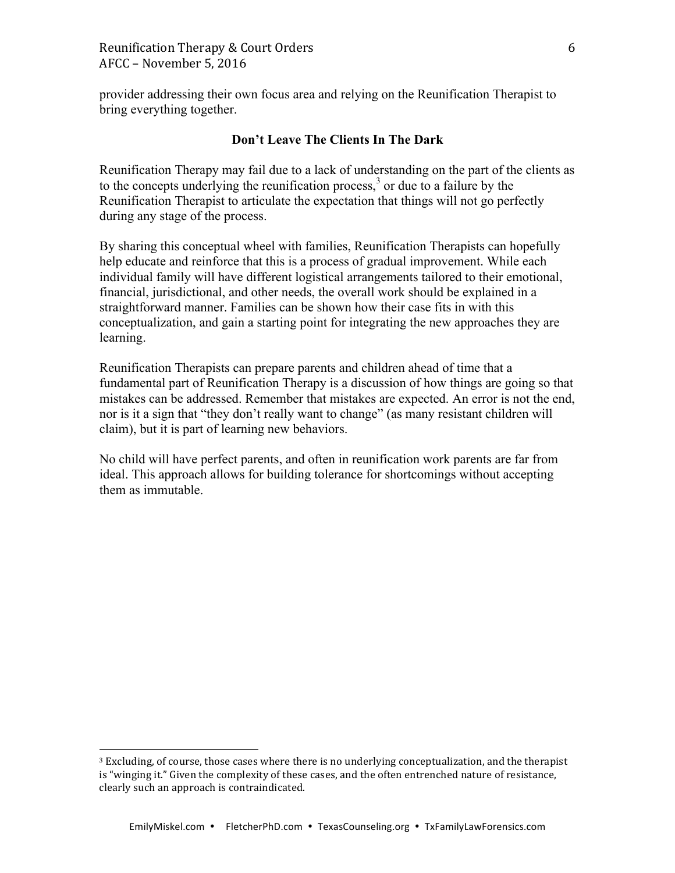provider addressing their own focus area and relying on the Reunification Therapist to bring everything together.

## **Don't Leave The Clients In The Dark**

Reunification Therapy may fail due to a lack of understanding on the part of the clients as to the concepts underlying the reunification process, $3$  or due to a failure by the Reunification Therapist to articulate the expectation that things will not go perfectly during any stage of the process.

By sharing this conceptual wheel with families, Reunification Therapists can hopefully help educate and reinforce that this is a process of gradual improvement. While each individual family will have different logistical arrangements tailored to their emotional, financial, jurisdictional, and other needs, the overall work should be explained in a straightforward manner. Families can be shown how their case fits in with this conceptualization, and gain a starting point for integrating the new approaches they are learning.

Reunification Therapists can prepare parents and children ahead of time that a fundamental part of Reunification Therapy is a discussion of how things are going so that mistakes can be addressed. Remember that mistakes are expected. An error is not the end, nor is it a sign that "they don't really want to change" (as many resistant children will claim), but it is part of learning new behaviors.

No child will have perfect parents, and often in reunification work parents are far from ideal. This approach allows for building tolerance for shortcomings without accepting them as immutable.

 

 $3$  Excluding, of course, those cases where there is no underlying conceptualization, and the therapist is "winging it." Given the complexity of these cases, and the often entrenched nature of resistance, clearly such an approach is contraindicated.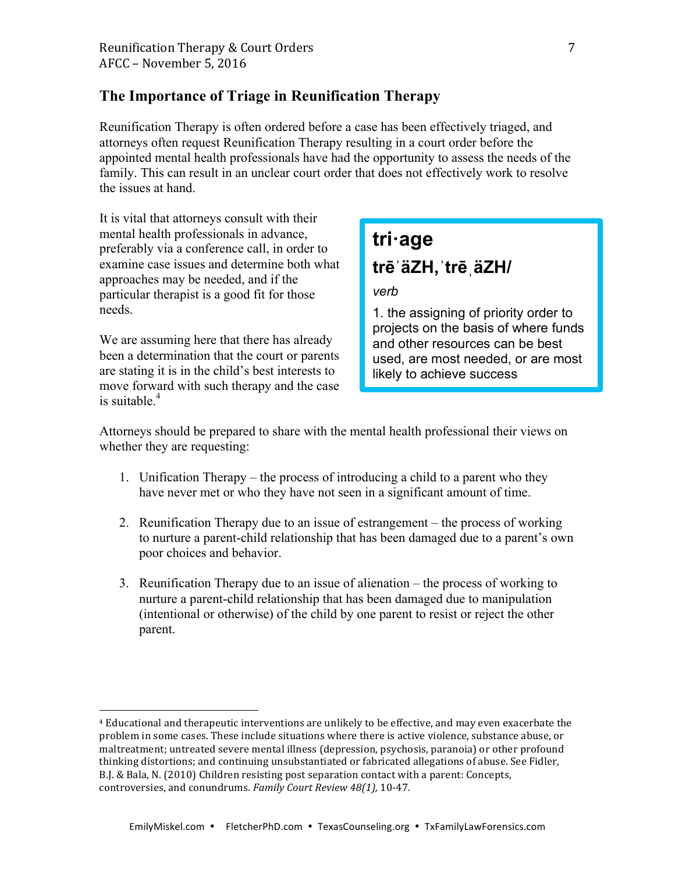## **The Importance of Triage in Reunification Therapy**

Reunification Therapy is often ordered before a case has been effectively triaged, and attorneys often request Reunification Therapy resulting in a court order before the appointed mental health professionals have had the opportunity to assess the needs of the family. This can result in an unclear court order that does not effectively work to resolve the issues at hand.

It is vital that attorneys consult with their mental health professionals in advance, preferably via a conference call, in order to examine case issues and determine both what approaches may be needed, and if the particular therapist is a good fit for those needs.

We are assuming here that there has already been a determination that the court or parents are stating it is in the child's best interests to move forward with such therapy and the case is suitable. $4$ 

 

# **tri·age trēˈäZH,ˈtrēˌäZH/**

## *verb*

1. the assigning of priority order to projects on the basis of where funds and other resources can be best used, are most needed, or are most likely to achieve success

Attorneys should be prepared to share with the mental health professional their views on whether they are requesting:

- 1. Unification Therapy the process of introducing a child to a parent who they have never met or who they have not seen in a significant amount of time.
- 2. Reunification Therapy due to an issue of estrangement the process of working to nurture a parent-child relationship that has been damaged due to a parent's own poor choices and behavior.
- 3. Reunification Therapy due to an issue of alienation the process of working to nurture a parent-child relationship that has been damaged due to manipulation (intentional or otherwise) of the child by one parent to resist or reject the other parent.

<sup>&</sup>lt;sup>4</sup> Educational and therapeutic interventions are unlikely to be effective, and may even exacerbate the problem in some cases. These include situations where there is active violence, substance abuse, or maltreatment; untreated severe mental illness (depression, psychosis, paranoia) or other profound thinking distortions; and continuing unsubstantiated or fabricated allegations of abuse. See Fidler, B.J. & Bala, N. (2010) Children resisting post separation contact with a parent: Concepts, controversies, and conundrums. Family Court Review 48(1), 10-47.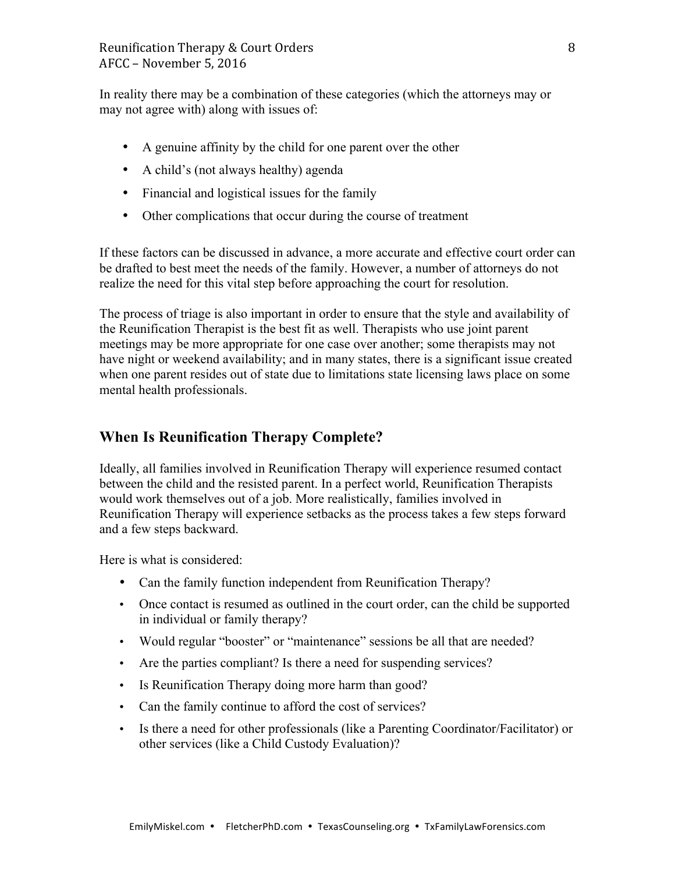In reality there may be a combination of these categories (which the attorneys may or may not agree with) along with issues of:

- A genuine affinity by the child for one parent over the other
- A child's (not always healthy) agenda
- Financial and logistical issues for the family
- Other complications that occur during the course of treatment

If these factors can be discussed in advance, a more accurate and effective court order can be drafted to best meet the needs of the family. However, a number of attorneys do not realize the need for this vital step before approaching the court for resolution.

The process of triage is also important in order to ensure that the style and availability of the Reunification Therapist is the best fit as well. Therapists who use joint parent meetings may be more appropriate for one case over another; some therapists may not have night or weekend availability; and in many states, there is a significant issue created when one parent resides out of state due to limitations state licensing laws place on some mental health professionals.

# **When Is Reunification Therapy Complete?**

Ideally, all families involved in Reunification Therapy will experience resumed contact between the child and the resisted parent. In a perfect world, Reunification Therapists would work themselves out of a job. More realistically, families involved in Reunification Therapy will experience setbacks as the process takes a few steps forward and a few steps backward.

Here is what is considered:

- Can the family function independent from Reunification Therapy?
- Once contact is resumed as outlined in the court order, can the child be supported in individual or family therapy?
- Would regular "booster" or "maintenance" sessions be all that are needed?
- Are the parties compliant? Is there a need for suspending services?
- Is Reunification Therapy doing more harm than good?
- Can the family continue to afford the cost of services?
- Is there a need for other professionals (like a Parenting Coordinator/Facilitator) or other services (like a Child Custody Evaluation)?